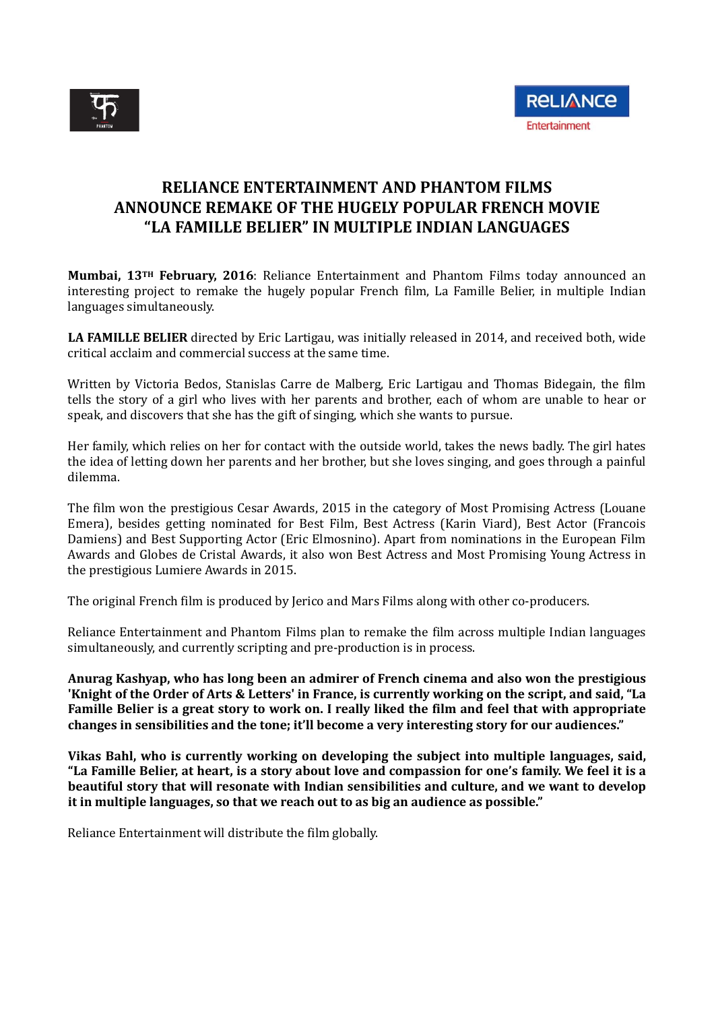

## **RELIANCE ENTERTAINMENT AND PHANTOM FILMS ANNOUNCE REMAKE OF THE HUGELY POPULAR FRENCH MOVIE "LA FAMILLE BELIER" IN MULTIPLE INDIAN LANGUAGES**

**Mumbai, 13TH February, 2016**: Reliance Entertainment and Phantom Films today announced an interesting project to remake the hugely popular French film, La Famille Belier, in multiple Indian languages simultaneously.

**LA FAMILLE BELIER** directed by Eric Lartigau, was initially released in 2014, and received both, wide critical acclaim and commercial success at the same time.

Written by Victoria Bedos, Stanislas Carre de Malberg, Eric Lartigau and Thomas Bidegain, the film tells the story of a girl who lives with her parents and brother, each of whom are unable to hear or speak, and discovers that she has the gift of singing, which she wants to pursue.

Her family, which relies on her for contact with the outside world, takes the news badly. The girl hates the idea of letting down her parents and her brother, but she loves singing, and goes through a painful dilemma.

The film won the prestigious Cesar Awards, 2015 in the category of Most Promising Actress (Louane Emera), besides getting nominated for Best Film, Best Actress (Karin Viard), Best Actor (Francois Damiens) and Best Supporting Actor (Eric Elmosnino). Apart from nominations in the European Film Awards and Globes de Cristal Awards, it also won Best Actress and Most Promising Young Actress in the prestigious Lumiere Awards in 2015.

The original French film is produced by Jerico and Mars Films along with other co-producers.

Reliance Entertainment and Phantom Films plan to remake the film across multiple Indian languages simultaneously, and currently scripting and pre-production is in process.

**Anurag Kashyap, who has long been an admirer of French cinema and also won the prestigious** 'Knight of the Order of Arts & Letters' in France, is currently working on the script, and said, "La Famille Belier is a great story to work on. I really liked the film and feel that with appropriate **changes in sensibilities and the tone; it'll become a very interesting story for our audiences."**

**Vikas Bahl, who is currently working on developing the subject into multiple languages, said,** "La Famille Belier, at heart, is a story about love and compassion for one's family. We feel it is a **beautiful story that will resonate with Indian sensibilities and culture, and we want to develop it in multiple languages, so that we reach out to as big an audience as possible."**

Reliance Entertainment will distribute the film globally.